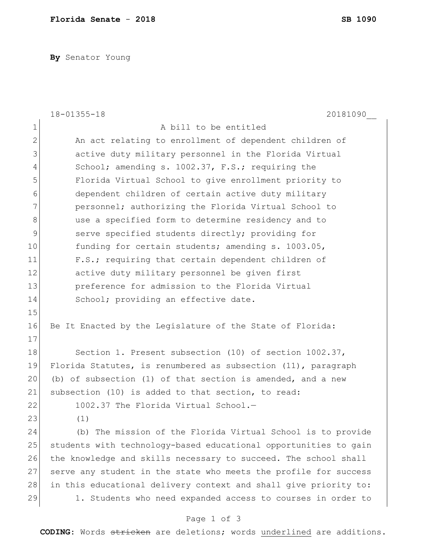**By** Senator Young

|               | $18 - 01355 - 18$<br>20181090                                    |
|---------------|------------------------------------------------------------------|
| $\mathbf 1$   | A bill to be entitled                                            |
| $\mathbf{2}$  | An act relating to enrollment of dependent children of           |
| $\mathcal{S}$ | active duty military personnel in the Florida Virtual            |
| 4             | School; amending s. 1002.37, F.S.; requiring the                 |
| 5             | Florida Virtual School to give enrollment priority to            |
| 6             | dependent children of certain active duty military               |
| 7             | personnel; authorizing the Florida Virtual School to             |
| $8\,$         | use a specified form to determine residency and to               |
| 9             | serve specified students directly; providing for                 |
| 10            | funding for certain students; amending s. 1003.05,               |
| 11            | F.S.; requiring that certain dependent children of               |
| 12            | active duty military personnel be given first                    |
| 13            | preference for admission to the Florida Virtual                  |
| 14            | School; providing an effective date.                             |
| 15            |                                                                  |
| 16            | Be It Enacted by the Legislature of the State of Florida:        |
| 17            |                                                                  |
| 18            | Section 1. Present subsection (10) of section 1002.37,           |
| 19            | Florida Statutes, is renumbered as subsection (11), paragraph    |
| 20            | (b) of subsection (1) of that section is amended, and a new      |
| 21            | subsection (10) is added to that section, to read:               |
| 22            | 1002.37 The Florida Virtual School.-                             |
| 23            | (1)                                                              |
| 24            | (b) The mission of the Florida Virtual School is to provide      |
| 25            | students with technology-based educational opportunities to gain |
| 26            | the knowledge and skills necessary to succeed. The school shall  |
| 27            | serve any student in the state who meets the profile for success |
| 28            | in this educational delivery context and shall give priority to: |
| 29            | 1. Students who need expanded access to courses in order to      |
|               | Page 1 of 3                                                      |

**CODING**: Words stricken are deletions; words underlined are additions.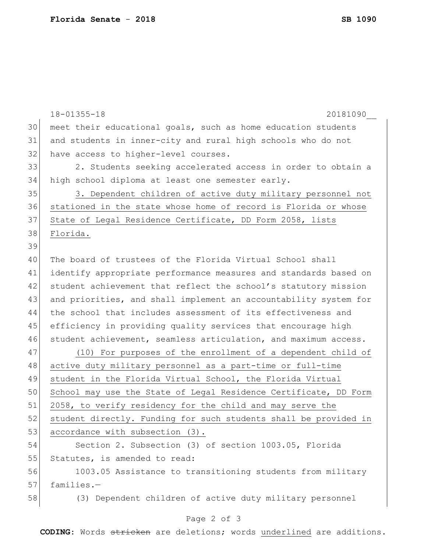|    | $18 - 01355 - 18$<br>20181090                                    |
|----|------------------------------------------------------------------|
| 30 | meet their educational goals, such as home education students    |
| 31 | and students in inner-city and rural high schools who do not     |
| 32 | have access to higher-level courses.                             |
| 33 | 2. Students seeking accelerated access in order to obtain a      |
| 34 | high school diploma at least one semester early.                 |
| 35 | 3. Dependent children of active duty military personnel not      |
| 36 | stationed in the state whose home of record is Florida or whose  |
| 37 | State of Legal Residence Certificate, DD Form 2058, lists        |
| 38 | Florida.                                                         |
| 39 |                                                                  |
| 40 | The board of trustees of the Florida Virtual School shall        |
| 41 | identify appropriate performance measures and standards based on |
| 42 | student achievement that reflect the school's statutory mission  |
| 43 | and priorities, and shall implement an accountability system for |
| 44 | the school that includes assessment of its effectiveness and     |
| 45 | efficiency in providing quality services that encourage high     |
| 46 | student achievement, seamless articulation, and maximum access.  |
| 47 | (10) For purposes of the enrollment of a dependent child of      |
| 48 | active duty military personnel as a part-time or full-time       |
| 49 | student in the Florida Virtual School, the Florida Virtual       |
| 50 | School may use the State of Legal Residence Certificate, DD Form |
| 51 | 2058, to verify residency for the child and may serve the        |
| 52 | student directly. Funding for such students shall be provided in |
| 53 | accordance with subsection (3).                                  |
| 54 | Section 2. Subsection (3) of section 1003.05, Florida            |
| 55 | Statutes, is amended to read:                                    |
| 56 | 1003.05 Assistance to transitioning students from military       |
| 57 | families.-                                                       |
| 58 | (3) Dependent children of active duty military personnel         |
|    | Page 2 of 3                                                      |

**CODING**: Words stricken are deletions; words underlined are additions.